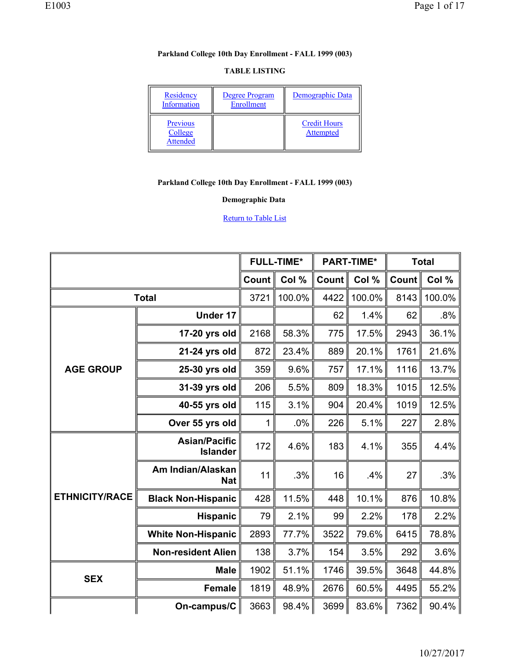#### **TABLE LISTING**

| Residency<br>Information               | Degree Program<br>Enrollment | Demographic Data                        |
|----------------------------------------|------------------------------|-----------------------------------------|
| Previous<br>College<br><b>Attended</b> |                              | <b>Credit Hours</b><br><b>Attempted</b> |

## **Parkland College 10th Day Enrollment - FALL 1999 (003)**

## **Demographic Data**

|                       |                                         | <b>FULL-TIME*</b> |        | <b>PART-TIME*</b> |        | <b>Total</b> |        |
|-----------------------|-----------------------------------------|-------------------|--------|-------------------|--------|--------------|--------|
|                       |                                         | Count             | Col %  | Count             | Col %  | Count        | Col %  |
|                       | <b>Total</b>                            | 3721              | 100.0% | 4422              | 100.0% | 8143         | 100.0% |
|                       | Under 17                                |                   |        | 62                | 1.4%   | 62           | .8%    |
|                       | 17-20 yrs old                           | 2168              | 58.3%  | 775               | 17.5%  | 2943         | 36.1%  |
| <b>AGE GROUP</b>      | 21-24 yrs old                           | 872               | 23.4%  | 889               | 20.1%  | 1761         | 21.6%  |
|                       | 25-30 yrs old                           | 359               | 9.6%   | 757               | 17.1%  | 1116         | 13.7%  |
|                       | 31-39 yrs old                           | 206               | 5.5%   | 809               | 18.3%  | 1015         | 12.5%  |
|                       | 40-55 yrs old                           | 115               | 3.1%   | 904               | 20.4%  | 1019         | 12.5%  |
|                       | Over 55 yrs old                         | 1                 | .0%    | 226               | 5.1%   | 227          | 2.8%   |
|                       | <b>Asian/Pacific</b><br><b>Islander</b> | 172               | 4.6%   | 183               | 4.1%   | 355          | 4.4%   |
|                       | Am Indian/Alaskan<br><b>Nat</b>         | 11                | .3%    | 16                | .4%    | 27           | .3%    |
| <b>ETHNICITY/RACE</b> | <b>Black Non-Hispanic</b>               | 428               | 11.5%  | 448               | 10.1%  | 876          | 10.8%  |
|                       | Hispanic                                | 79                | 2.1%   | 99                | 2.2%   | 178          | 2.2%   |
|                       | <b>White Non-Hispanic</b>               | 2893              | 77.7%  | 3522              | 79.6%  | 6415         | 78.8%  |
|                       | <b>Non-resident Alien</b>               | 138               | 3.7%   | 154               | 3.5%   | 292          | 3.6%   |
|                       | <b>Male</b>                             | 1902              | 51.1%  | 1746              | 39.5%  | 3648         | 44.8%  |
| <b>SEX</b>            | <b>Female</b>                           | 1819              | 48.9%  | 2676              | 60.5%  | 4495         | 55.2%  |
|                       | On-campus/C                             | 3663              | 98.4%  | 3699              | 83.6%  | 7362         | 90.4%  |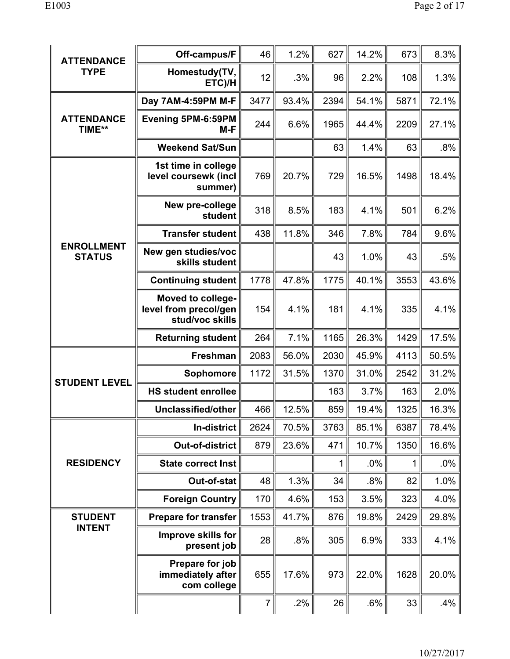| <b>ATTENDANCE</b>                  | Off-campus/F                                                  | 46             | 1.2%  | 627  | 14.2%  | 673  | 8.3%   |
|------------------------------------|---------------------------------------------------------------|----------------|-------|------|--------|------|--------|
| <b>TYPE</b>                        | Homestudy(TV,<br>ETC)/H                                       | 12             | .3%   | 96   | 2.2%   | 108  | 1.3%   |
|                                    | Day 7AM-4:59PM M-F                                            | 3477           | 93.4% | 2394 | 54.1%  | 5871 | 72.1%  |
| <b>ATTENDANCE</b><br>TIME**        | Evening 5PM-6:59PM<br>$M-F$                                   | 244            | 6.6%  | 1965 | 44.4%  | 2209 | 27.1%  |
|                                    | <b>Weekend Sat/Sun</b>                                        |                |       | 63   | 1.4%   | 63   | .8%    |
|                                    | 1st time in college<br>level coursewk (incl<br>summer)        | 769            | 20.7% | 729  | 16.5%  | 1498 | 18.4%  |
|                                    | New pre-college<br>student                                    | 318            | 8.5%  | 183  | 4.1%   | 501  | 6.2%   |
|                                    | <b>Transfer student</b>                                       | 438            | 11.8% | 346  | 7.8%   | 784  | 9.6%   |
| <b>ENROLLMENT</b><br><b>STATUS</b> | New gen studies/voc<br>skills student                         |                |       | 43   | 1.0%   | 43   | .5%    |
|                                    | <b>Continuing student</b>                                     | 1778           | 47.8% | 1775 | 40.1%  | 3553 | 43.6%  |
|                                    | Moved to college-<br>level from precol/gen<br>stud/voc skills | 154            | 4.1%  | 181  | 4.1%   | 335  | 4.1%   |
|                                    | <b>Returning student</b>                                      | 264            | 7.1%  | 1165 | 26.3%  | 1429 | 17.5%  |
|                                    | <b>Freshman</b>                                               | 2083           | 56.0% | 2030 | 45.9%  | 4113 | 50.5%  |
| <b>STUDENT LEVEL</b>               | Sophomore                                                     | 1172           | 31.5% | 1370 | 31.0%  | 2542 | 31.2%  |
|                                    | <b>HS student enrollee</b>                                    |                |       | 163  | 3.7%   | 163  | 2.0%   |
|                                    | Unclassified/other                                            | 466            | 12.5% | 859  | 19.4%  | 1325 | 16.3%  |
|                                    | In-district                                                   | 2624           | 70.5% | 3763 | 85.1%  | 6387 | 78.4%  |
|                                    | <b>Out-of-district</b>                                        | 879            | 23.6% | 471  | 10.7%  | 1350 | 16.6%  |
| <b>RESIDENCY</b>                   | State correct Inst                                            |                |       | 1    | $.0\%$ | 1    | $.0\%$ |
|                                    | Out-of-stat                                                   | 48             | 1.3%  | 34   | $.8\%$ | 82   | 1.0%   |
|                                    | <b>Foreign Country</b>                                        | 170            | 4.6%  | 153  | 3.5%   | 323  | 4.0%   |
| <b>STUDENT</b>                     | <b>Prepare for transfer</b>                                   | 1553           | 41.7% | 876  | 19.8%  | 2429 | 29.8%  |
| <b>INTENT</b>                      | <b>Improve skills for</b><br>present job                      | 28             | .8%   | 305  | 6.9%   | 333  | 4.1%   |
|                                    | Prepare for job<br>immediately after<br>com college           | 655            | 17.6% | 973  | 22.0%  | 1628 | 20.0%  |
|                                    |                                                               | $\overline{7}$ | .2%   | 26   | .6%    | 33   | $.4\%$ |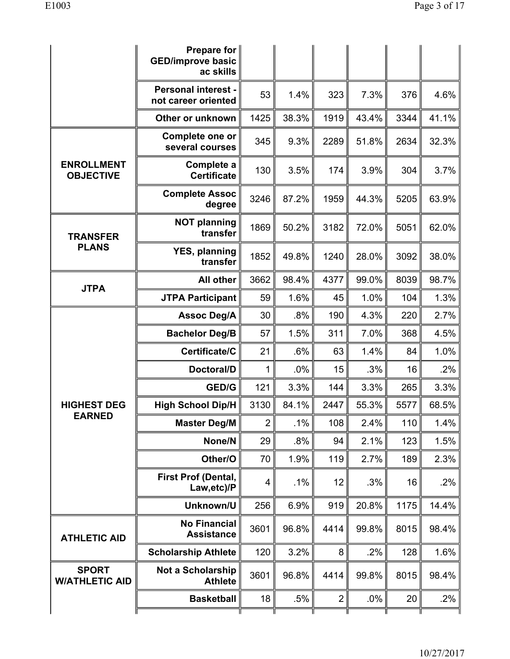|                                       | Prepare for $ $<br><b>GED/improve basic</b><br>ac skills |                |       |                |        |      |        |
|---------------------------------------|----------------------------------------------------------|----------------|-------|----------------|--------|------|--------|
|                                       | <b>Personal interest -</b><br>not career oriented        | 53             | 1.4%  | 323            | 7.3%   | 376  | 4.6%   |
|                                       | Other or unknown                                         | 1425           | 38.3% | 1919           | 43.4%  | 3344 | 41.1%  |
|                                       | Complete one or<br>several courses                       | 345            | 9.3%  | 2289           | 51.8%  | 2634 | 32.3%  |
| <b>ENROLLMENT</b><br><b>OBJECTIVE</b> | Complete a<br><b>Certificate</b>                         | 130            | 3.5%  | 174            | 3.9%   | 304  | 3.7%   |
|                                       | <b>Complete Assoc</b><br>degree                          | 3246           | 87.2% | 1959           | 44.3%  | 5205 | 63.9%  |
| <b>TRANSFER</b>                       | <b>NOT planning</b><br>transfer                          | 1869           | 50.2% | 3182           | 72.0%  | 5051 | 62.0%  |
| <b>PLANS</b>                          | <b>YES, planning</b><br>transfer                         | 1852           | 49.8% | 1240           | 28.0%  | 3092 | 38.0%  |
| <b>JTPA</b>                           | All other                                                | 3662           | 98.4% | 4377           | 99.0%  | 8039 | 98.7%  |
|                                       | <b>JTPA Participant</b>                                  | 59             | 1.6%  | 45             | 1.0%   | 104  | 1.3%   |
|                                       | <b>Assoc Deg/A</b>                                       | 30             | .8%   | 190            | 4.3%   | 220  | 2.7%   |
|                                       | <b>Bachelor Deg/B</b>                                    | 57             | 1.5%  | 311            | 7.0%   | 368  | 4.5%   |
|                                       | Certificate/C                                            | 21             | .6%   | 63             | 1.4%   | 84   | 1.0%   |
|                                       | Doctoral/D                                               | $\mathbf{1}$   | .0%   | 15             | .3%    | 16   | .2%    |
|                                       | GED/G                                                    | 121            | 3.3%  | 144            | 3.3%   | 265  | 3.3%   |
| <b>HIGHEST DEG</b><br><b>EARNED</b>   | <b>High School Dip/H</b>                                 | 3130           | 84.1% | 2447           | 55.3%  | 5577 | 68.5%  |
|                                       | <b>Master Deg/M</b>                                      | $\overline{2}$ | .1%   | 108            | 2.4%   | 110  | 1.4%   |
|                                       | None/N                                                   | 29             | .8%   | 94             | 2.1%   | 123  | 1.5%   |
|                                       | Other/O                                                  | 70             | 1.9%  | 119            | 2.7%   | 189  | 2.3%   |
|                                       | <b>First Prof (Dental,</b><br>Law, etc)/P                | 4              | .1%   | 12             | .3%    | 16   | .2%    |
|                                       | Unknown/U                                                | 256            | 6.9%  | 919            | 20.8%  | 1175 | 14.4%  |
| <b>ATHLETIC AID</b>                   | <b>No Financial</b><br><b>Assistance</b>                 | 3601           | 96.8% | 4414           | 99.8%  | 8015 | 98.4%  |
|                                       | <b>Scholarship Athlete</b>                               | 120            | 3.2%  | 8              | .2%    | 128  | 1.6%   |
| <b>SPORT</b><br><b>W/ATHLETIC AID</b> | <b>Not a Scholarship</b><br><b>Athlete</b>               | 3601           | 96.8% | 4414           | 99.8%  | 8015 | 98.4%  |
|                                       | <b>Basketball</b>                                        | 18             | .5%   | $\overline{2}$ | $.0\%$ | 20   | $.2\%$ |
|                                       |                                                          |                |       |                |        |      |        |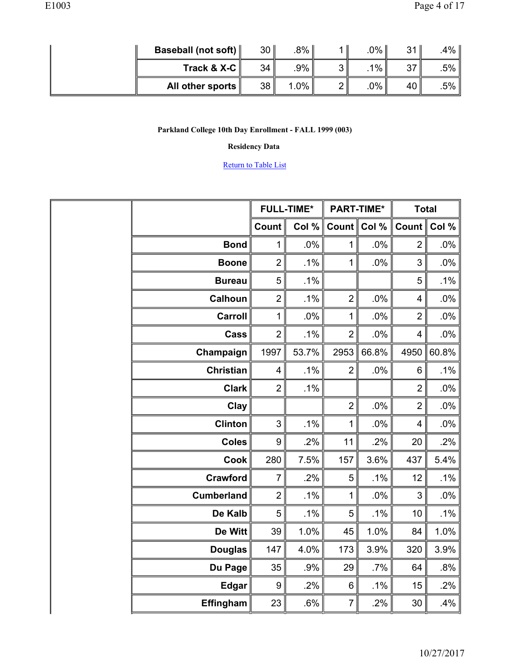| Baseball (not soft) $\parallel$ | 30 <sub>1</sub>  | .8%∥   | 0% l     | 211 | $.4\%$ |
|---------------------------------|------------------|--------|----------|-----|--------|
| Track & $X-C$                   | 34               | .9%    | $1\%$ li | つフー | .5% ∥  |
| All other sports $\ $           | 38 <sup>  </sup> | $.0\%$ | 0%∥      | 40  | .5%    |

## **Residency Data**

|                   | <b>FULL-TIME*</b>       |        | <b>PART-TIME*</b> |        | <b>Total</b>            |        |
|-------------------|-------------------------|--------|-------------------|--------|-------------------------|--------|
|                   | Count                   | Col %  | Count             | Col %  | <b>Count</b>            | Col %  |
| <b>Bond</b>       | $\mathbf 1$             | .0%    | 1                 | .0%    | $\overline{2}$          | $.0\%$ |
| <b>Boone</b>      | $\overline{2}$          | .1%    | 1                 | .0%    | 3                       | .0%    |
| <b>Bureau</b>     | 5                       | .1%    |                   |        | 5                       | .1%    |
| <b>Calhoun</b>    | $\overline{2}$          | .1%    | $\overline{2}$    | .0%    | 4                       | .0%    |
| <b>Carroll</b>    | 1                       | .0%    | 1                 | .0%    | $\overline{2}$          | .0%    |
| Cass              | $\overline{2}$          | $.1\%$ | $\overline{2}$    | .0%    | 4                       | .0%    |
| Champaign         | 1997                    | 53.7%  | 2953              | 66.8%  | 4950                    | 60.8%  |
| <b>Christian</b>  | $\overline{\mathbf{4}}$ | .1%    | $\overline{2}$    | .0%    | $6\phantom{1}6$         | .1%    |
| <b>Clark</b>      | $\overline{2}$          | .1%    |                   |        | $\overline{2}$          | $.0\%$ |
| Clay              |                         |        | $\overline{2}$    | .0%    | $\overline{2}$          | .0%    |
| <b>Clinton</b>    | 3                       | .1%    | 1                 | .0%    | $\overline{\mathbf{4}}$ | $.0\%$ |
| <b>Coles</b>      | 9                       | .2%    | 11                | .2%    | 20                      | .2%    |
| Cook              | 280                     | 7.5%   | 157               | 3.6%   | 437                     | 5.4%   |
| <b>Crawford</b>   | $\overline{7}$          | .2%    | 5                 | .1%    | 12                      | .1%    |
| <b>Cumberland</b> | $\overline{2}$          | .1%    | 1                 | .0%    | 3                       | .0%    |
| De Kalb           | 5                       | .1%    | 5                 | .1%    | 10                      | $.1\%$ |
| De Witt           | 39                      | 1.0%   | 45                | 1.0%   | 84                      | 1.0%   |
| <b>Douglas</b>    | 147                     | 4.0%   | 173               | 3.9%   | 320                     | 3.9%   |
| Du Page           | 35                      | .9%    | 29                | $.7\%$ | 64                      | .8%    |
| Edgar             | 9                       | .2%    | $\,6$             | .1%    | 15                      | .2%    |
| Effingham         | 23                      | .6%    | $\overline{7}$    | .2%    | 30                      | .4%    |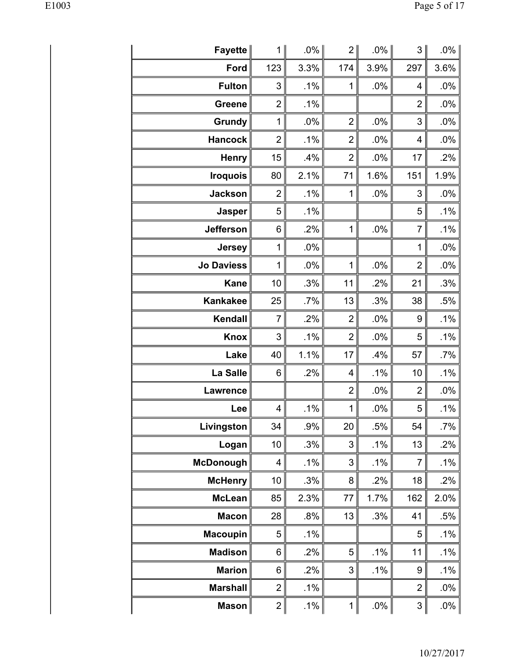| Fayette           | 1 I                     | $.0\%$ | 2              | $.0\%$ | 3                         | $.0\%$ |
|-------------------|-------------------------|--------|----------------|--------|---------------------------|--------|
| Ford              | 123                     | 3.3%   | 174            | 3.9%   | 297                       | 3.6%   |
| <b>Fulton</b>     | 3                       | .1%    | 1              | .0%    | 4                         | .0%    |
| <b>Greene</b>     | $\overline{2}$          | .1%    |                |        | $\overline{2}$            | .0%    |
| Grundy            | 1                       | .0%    | $\overline{2}$ | .0%    | 3                         | .0%    |
| <b>Hancock</b>    | $\overline{2}$          | .1%    | $\overline{2}$ | $.0\%$ | 4                         | .0%    |
| <b>Henry</b>      | 15                      | .4%    | $\overline{2}$ | $.0\%$ | 17                        | .2%    |
| <b>Iroquois</b>   | 80                      | 2.1%   | 71             | 1.6%   | 151                       | 1.9%   |
| <b>Jackson</b>    | $\overline{2}$          | $.1\%$ | 1              | $.0\%$ | 3                         | .0%    |
| Jasper            | 5                       | $.1\%$ |                |        | 5                         | .1%    |
| <b>Jefferson</b>  | 6                       | .2%    | 1              | .0%    | 7                         | .1%    |
| <b>Jersey</b>     | $\mathbf 1$             | .0%    |                |        | $\mathbf 1$               | .0%    |
| <b>Jo Daviess</b> | 1                       | .0%    | 1              | .0%    | $\overline{2}$            | .0%    |
| <b>Kane</b>       | 10                      | .3%    | 11             | .2%    | 21                        | .3%    |
| <b>Kankakee</b>   | 25                      | $.7\%$ | 13             | .3%    | 38                        | .5%    |
| Kendall           | 7                       | .2%    | $\overline{2}$ | $.0\%$ | 9                         | .1%    |
| <b>Knox</b>       | 3                       | .1%    | $\overline{2}$ | $.0\%$ | 5                         | .1%    |
| Lake              | 40                      | 1.1%   | 17             | .4%    | 57                        | .7%    |
| La Salle          | 6                       | .2%    | 4              | .1%    | 10                        | .1%    |
| <b>Lawrence</b>   |                         |        | $\overline{c}$ | $.0\%$ | $\overline{2}$            | .0%    |
| Lee               | 4                       | $.1\%$ | $\mathbf 1$    | $.0\%$ | 5                         | $.1\%$ |
| Livingston        | 34                      | .9%    | 20             | .5%    | 54                        | $.7\%$ |
| Logan             | 10                      | .3%    | 3              | $.1\%$ | 13                        | .2%    |
| <b>McDonough</b>  | $\overline{\mathbf{4}}$ | .1%    | 3              | .1%    | 7                         | .1%    |
| <b>McHenry</b>    | 10                      | .3%    | 8              | .2%    | 18                        | .2%    |
| <b>McLean</b>     | 85                      | 2.3%   | 77             | 1.7%   | 162                       | 2.0%   |
| <b>Macon</b>      | 28                      | .8%    | 13             | .3%    | 41                        | .5%    |
| <b>Macoupin</b>   | 5                       | $.1\%$ |                |        | 5                         | .1%    |
| <b>Madison</b>    | 6                       | .2%    | 5              | .1%    | 11                        | .1%    |
| <b>Marion</b>     | 6                       | .2%    | 3              | .1%    | 9                         | .1%    |
| <b>Marshall</b>   | $\overline{2}$          | .1%    |                |        | $\overline{2}$            | $.0\%$ |
| <b>Mason</b>      | $\overline{2}$          | .1%    | $\mathbf 1$    | $.0\%$ | $\ensuremath{\mathsf{3}}$ | $.0\%$ |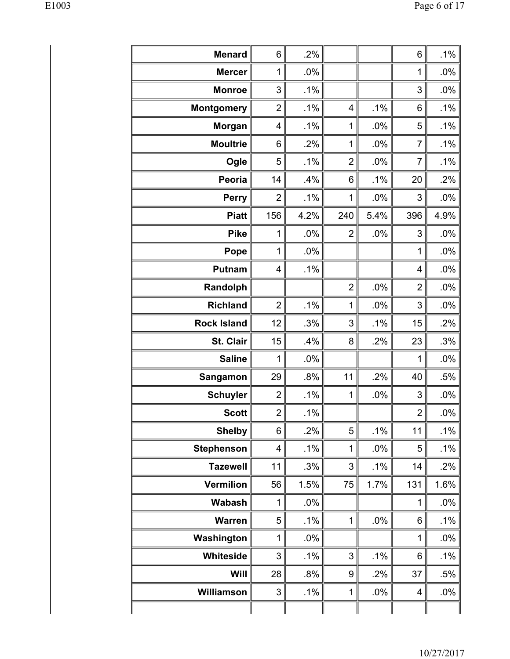| <b>Menard</b>      | 6              | .2%  |                         |        | 6                       | .1%    |
|--------------------|----------------|------|-------------------------|--------|-------------------------|--------|
| <b>Mercer</b>      | 1              | .0%  |                         |        | 1                       | $.0\%$ |
| <b>Monroe</b>      | 3              | .1%  |                         |        | 3                       | $.0\%$ |
| <b>Montgomery</b>  | $\overline{2}$ | .1%  | $\overline{\mathbf{4}}$ | .1%    | 6                       | .1%    |
| Morgan             | 4              | .1%  | 1                       | .0%    | 5                       | .1%    |
| <b>Moultrie</b>    | 6              | .2%  | 1                       | .0%    | $\overline{7}$          | .1%    |
| Ogle               | 5              | .1%  | $\overline{c}$          | .0%    | $\overline{7}$          | .1%    |
| Peoria             | 14             | .4%  | 6                       | .1%    | 20                      | .2%    |
| <b>Perry</b>       | $\overline{2}$ | .1%  | 1                       | .0%    | 3                       | $.0\%$ |
| <b>Piatt</b>       | 156            | 4.2% | 240                     | 5.4%   | 396                     | 4.9%   |
| <b>Pike</b>        | 1              | .0%  | $\overline{2}$          | .0%    | 3                       | $.0\%$ |
| Pope               | 1              | .0%  |                         |        | 1                       | .0%    |
| <b>Putnam</b>      | 4              | .1%  |                         |        | $\overline{\mathbf{4}}$ | $.0\%$ |
| Randolph           |                |      | $\overline{2}$          | .0%    | $\overline{2}$          | $.0\%$ |
| <b>Richland</b>    | $\overline{2}$ | .1%  | 1                       | .0%    | 3                       | .0%    |
| <b>Rock Island</b> | 12             | .3%  | 3                       | .1%    | 15                      | .2%    |
| St. Clair          | 15             | .4%  | 8                       | .2%    | 23                      | .3%    |
| <b>Saline</b>      | 1              | .0%  |                         |        | 1                       | $.0\%$ |
| Sangamon           | 29             | .8%  | 11                      | .2%    | 40                      | .5%    |
| <b>Schuyler</b>    | $\overline{2}$ | .1%  | 1                       | .0%    | 3                       | .0%    |
| <b>Scott</b>       | $\overline{2}$ | .1%  |                         |        | $\overline{2}$          | $.0\%$ |
| <b>Shelby</b>      | 6              | .2%  | 5                       | .1%    | 11                      | .1%    |
| <b>Stephenson</b>  | 4              | .1%  | 1                       | $.0\%$ | 5                       | .1%    |
| <b>Tazewell</b>    | 11             | .3%  | 3                       | $.1\%$ | 14                      | .2%    |
| <b>Vermilion</b>   | 56             | 1.5% | 75                      | 1.7%   | 131                     | 1.6%   |
| Wabash             | 1              | .0%  |                         |        | 1                       | .0%    |
| <b>Warren</b>      | 5              | .1%  | 1                       | .0%    | 6                       | .1%    |
| Washington         | 1              | .0%  |                         |        | 1                       | .0%    |
| Whiteside          | 3              | .1%  | 3                       | .1%    | 6                       | $.1\%$ |
| Will               | 28             | .8%  | 9                       | .2%    | 37                      | .5%    |
| Williamson         | 3              | .1%  | 1                       | .0%    | 4                       | .0%    |
|                    |                |      |                         |        |                         |        |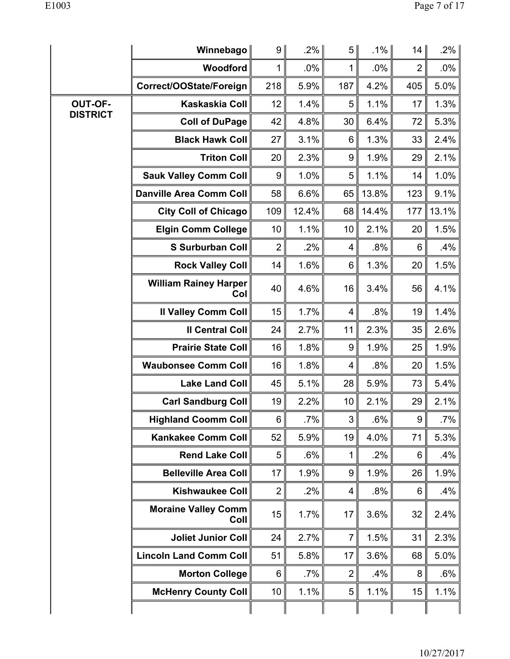|                 | Winnebago                           | 9               | $.2\%$ | 5 <sup>1</sup> | $.1\%$ | 14             | .2%    |
|-----------------|-------------------------------------|-----------------|--------|----------------|--------|----------------|--------|
|                 | Woodford                            | 1               | .0%    | $\mathbf{1}$   | $.0\%$ | $\overline{2}$ | $.0\%$ |
|                 | Correct/OOState/Foreign             | 218             | 5.9%   | 187            | 4.2%   | 405            | 5.0%   |
| <b>OUT-OF-</b>  | Kaskaskia Coll                      | 12              | 1.4%   | 5              | 1.1%   | 17             | 1.3%   |
| <b>DISTRICT</b> | <b>Coll of DuPage</b>               | 42              | 4.8%   | 30             | 6.4%   | 72             | 5.3%   |
|                 | <b>Black Hawk Coll</b>              | 27              | 3.1%   | 6              | 1.3%   | 33             | 2.4%   |
|                 | <b>Triton Coll</b>                  | 20              | 2.3%   | 9              | 1.9%   | 29             | 2.1%   |
|                 | <b>Sauk Valley Comm Coll</b>        | 9               | 1.0%   | 5              | 1.1%   | 14             | 1.0%   |
|                 | <b>Danville Area Comm Coll</b>      | 58              | 6.6%   | 65             | 13.8%  | 123            | 9.1%   |
|                 | <b>City Coll of Chicago</b>         | 109             | 12.4%  | 68             | 14.4%  | 177            | 13.1%  |
|                 | <b>Elgin Comm College</b>           | 10              | 1.1%   | 10             | 2.1%   | 20             | 1.5%   |
|                 | <b>S Surburban Coll</b>             | $\overline{2}$  | .2%    | 4              | .8%    | 6              | .4%    |
|                 | <b>Rock Valley Coll</b>             | 14              | 1.6%   | 6              | 1.3%   | 20             | 1.5%   |
|                 | <b>William Rainey Harper</b><br>Col | 40              | 4.6%   | 16             | 3.4%   | 56             | 4.1%   |
|                 | <b>Il Valley Comm Coll</b>          | 15              | 1.7%   | 4              | .8%    | 19             | 1.4%   |
|                 | <b>Il Central Coll</b>              | 24              | 2.7%   | 11             | 2.3%   | 35             | 2.6%   |
|                 | <b>Prairie State Coll</b>           | 16              | 1.8%   | 9              | 1.9%   | 25             | 1.9%   |
|                 | <b>Waubonsee Comm Coll</b>          | 16              | 1.8%   | 4              | .8%    | 20             | 1.5%   |
|                 | <b>Lake Land Coll</b>               | 45              | 5.1%   | 28             | 5.9%   | 73             | 5.4%   |
|                 | <b>Carl Sandburg Coll</b>           | 19              | 2.2%   | 10             | 2.1%   | 29             | 2.1%   |
|                 | <b>Highland Coomm Coll</b>          | 6               | .7%    | 3              | .6%    | 9              | .7%    |
|                 | <b>Kankakee Comm Coll</b>           | 52              | 5.9%   | 19             | 4.0%   | 71             | 5.3%   |
|                 | <b>Rend Lake Coll</b>               | 5               | .6%    | $\mathbf 1$    | .2%    | 6              | .4%    |
|                 | <b>Belleville Area Coll</b>         | 17              | 1.9%   | 9              | 1.9%   | 26             | 1.9%   |
|                 | <b>Kishwaukee Coll</b>              | $\overline{2}$  | $.2\%$ | 4              | .8%    | 6              | .4%    |
|                 | <b>Moraine Valley Comm</b><br>Coll  | 15              | 1.7%   | 17             | 3.6%   | 32             | 2.4%   |
|                 | <b>Joliet Junior Coll</b>           | 24              | 2.7%   | $\overline{7}$ | 1.5%   | 31             | 2.3%   |
|                 | <b>Lincoln Land Comm Coll</b>       | 51              | 5.8%   | 17             | 3.6%   | 68             | 5.0%   |
|                 | <b>Morton College</b>               | 6               | $.7\%$ | 2              | $.4\%$ | 8              | .6%    |
|                 | <b>McHenry County Coll</b>          | 10 <sub>1</sub> | 1.1%   | 5              | 1.1%   | 15             | 1.1%   |
|                 |                                     |                 |        |                |        |                |        |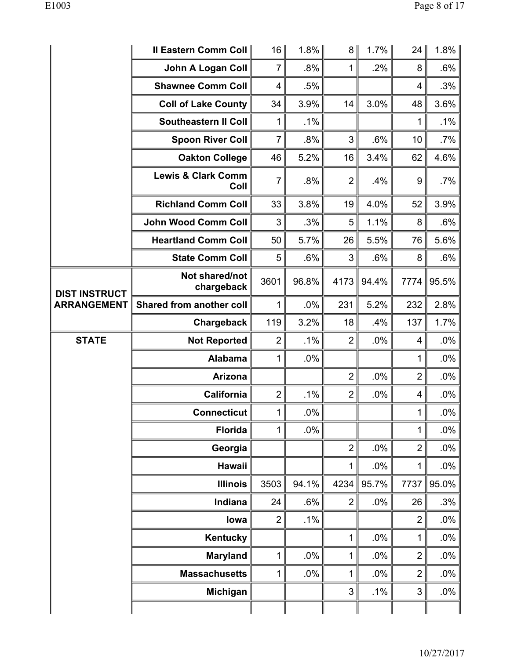|                      | <b>Il Eastern Comm Coll</b>           | 16                      | 1.8%   | 8              | 1.7%   | 24               | 1.8%   |
|----------------------|---------------------------------------|-------------------------|--------|----------------|--------|------------------|--------|
|                      | <b>John A Logan Coll</b>              | $\overline{7}$          | $.8\%$ | 1              | .2%    | 8                | .6%    |
|                      | <b>Shawnee Comm Coll</b>              | $\overline{\mathbf{4}}$ | .5%    |                |        | 4                | .3%    |
|                      | <b>Coll of Lake County</b>            | 34                      | 3.9%   | 14             | 3.0%   | 48               | 3.6%   |
|                      | <b>Southeastern II Coll</b>           | 1                       | $.1\%$ |                |        | 1                | $.1\%$ |
|                      | <b>Spoon River Coll</b>               | $\overline{7}$          | .8%    | 3              | .6%    | 10               | .7%    |
|                      | <b>Oakton College</b>                 | 46                      | 5.2%   | 16             | 3.4%   | 62               | 4.6%   |
|                      | <b>Lewis &amp; Clark Comm</b><br>Coll | 7                       | .8%    | $\overline{2}$ | .4%    | $\boldsymbol{9}$ | .7%    |
|                      | <b>Richland Comm Coll</b>             | 33                      | 3.8%   | 19             | 4.0%   | 52               | 3.9%   |
|                      | <b>John Wood Comm Coll</b>            | 3                       | .3%    | 5              | 1.1%   | 8                | .6%    |
|                      | <b>Heartland Comm Coll</b>            | 50                      | 5.7%   | 26             | 5.5%   | 76               | 5.6%   |
|                      | <b>State Comm Coll</b>                | 5                       | .6%    | 3              | .6%    | 8                | .6%    |
| <b>DIST INSTRUCT</b> | Not shared/not<br>chargeback          | 3601                    | 96.8%  | 4173           | 94.4%  | 7774             | 95.5%  |
| <b>ARRANGEMENT</b>   | Shared from another coll              | 1                       | .0%    | 231            | 5.2%   | 232              | 2.8%   |
|                      | Chargeback                            | 119                     | 3.2%   | 18             | .4%    | 137              | 1.7%   |
| <b>STATE</b>         | <b>Not Reported</b>                   | $\overline{2}$          | .1%    | $\overline{2}$ | $.0\%$ | 4                | .0%    |
|                      | <b>Alabama</b>                        | 1                       | .0%    |                |        | 1                | .0%    |
|                      | Arizona                               |                         |        | $\overline{2}$ | .0%    | $\overline{2}$   | $.0\%$ |
|                      | California                            | $\overline{2}$          | .1%    | $\overline{2}$ | .0%    | 4                | .0%    |
|                      | Connecticut                           | $\mathbf{1}$            | $.0\%$ |                |        | 1 <sup>1</sup>   | $.0\%$ |
|                      | <b>Florida</b>                        | 1                       | $.0\%$ |                |        | 1                | $.0\%$ |
|                      | Georgia                               |                         |        | $\overline{2}$ | .0%    | $\overline{2}$   | $.0\%$ |
|                      | <b>Hawaii</b>                         |                         |        | 1              | $.0\%$ | 1                | $.0\%$ |
|                      | <b>Illinois</b>                       | 3503                    | 94.1%  | 4234           | 95.7%  | 7737             | 95.0%  |
|                      | Indiana                               | 24                      | .6%    | $\overline{2}$ | $.0\%$ | 26               | .3%    |
|                      | lowa                                  | $\overline{2}$          | .1%    |                |        | $\overline{2}$   | .0%    |
|                      | Kentucky                              |                         |        | 1              | $.0\%$ | 1                | .0%    |
|                      |                                       | 1                       | $.0\%$ | 1              | .0%    | $\overline{2}$   | $.0\%$ |
|                      | <b>Maryland</b>                       |                         |        |                |        |                  |        |
|                      | <b>Massachusetts</b>                  | 1                       | .0%    | 1              | .0%    | $\overline{2}$   | $.0\%$ |
|                      | Michigan                              |                         |        | 3              | .1%    | 3                | .0%    |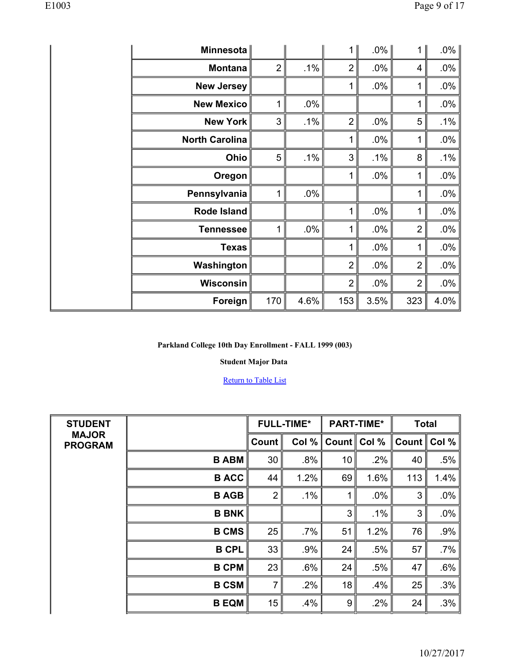| Minnesota             |                |        | 1              | $.0\%$ | 1              | $.0\%$ |
|-----------------------|----------------|--------|----------------|--------|----------------|--------|
| <b>Montana</b>        | $\overline{2}$ | $.1\%$ | $\overline{2}$ | .0%    | 4              | $.0\%$ |
| <b>New Jersey</b>     |                |        | 1              | .0%    | 1              | $.0\%$ |
| <b>New Mexico</b>     | 1              | $.0\%$ |                |        | 1              | $.0\%$ |
| <b>New York</b>       | 3              | $.1\%$ | $\overline{2}$ | .0%    | 5              | $.1\%$ |
| <b>North Carolina</b> |                |        | 1              | .0%    | 1              | $.0\%$ |
| Ohio                  | 5              | $.1\%$ | 3              | $.1\%$ | 8              | $.1\%$ |
| Oregon                |                |        | 1              | .0%    | 1              | $.0\%$ |
| Pennsylvania          | 1              | $.0\%$ |                |        | 1              | $.0\%$ |
| Rode Island           |                |        | 1              | .0%    | 1              | $.0\%$ |
| <b>Tennessee</b>      | 1              | $.0\%$ | 1              | .0%    | $\overline{2}$ | $.0\%$ |
| <b>Texas</b>          |                |        | 1              | .0%    | 1              | $.0\%$ |
| Washington            |                |        | $\overline{2}$ | .0%    | $\overline{2}$ | $.0\%$ |
| <b>Wisconsin</b>      |                |        | $\overline{2}$ | .0%    | $\overline{2}$ | $.0\%$ |
| Foreign               | 170            | 4.6%   | 153            | 3.5%   | 323            | 4.0%   |

## **Student Major Data**

| <b>STUDENT</b>                 |              |                | <b>FULL-TIME*</b> |       | <b>PART-TIME*</b> | <b>Total</b>      |        |
|--------------------------------|--------------|----------------|-------------------|-------|-------------------|-------------------|--------|
| <b>MAJOR</b><br><b>PROGRAM</b> |              | Count          | Col %             | Count | Col %             | Count $\parallel$ | Col %  |
|                                | <b>B ABM</b> | 30             | .8%               | 10    | .2%               | 40                | .5%    |
|                                | <b>B ACC</b> | 44             | 1.2%              | 69    | 1.6%              | 113               | 1.4%   |
|                                | <b>B AGB</b> | $\overline{2}$ | $.1\%$            | 1     | .0%               | 3                 | .0%    |
|                                | <b>B BNK</b> |                |                   | 3     | $.1\%$            | 3                 | $.0\%$ |
|                                | <b>B CMS</b> | 25             | $.7\%$            | 51    | 1.2%              | 76                | .9%    |
|                                | <b>B CPL</b> | 33             | .9%               | 24    | .5%               | 57                | $.7\%$ |
|                                | <b>B CPM</b> | 23             | .6%               | 24    | .5%               | 47                | .6%    |
|                                | <b>B CSM</b> | $\overline{7}$ | .2%               | 18    | .4%               | 25                | .3%    |
|                                | <b>B EQM</b> | 15             | .4%               | 9     | .2%               | 24                | .3%    |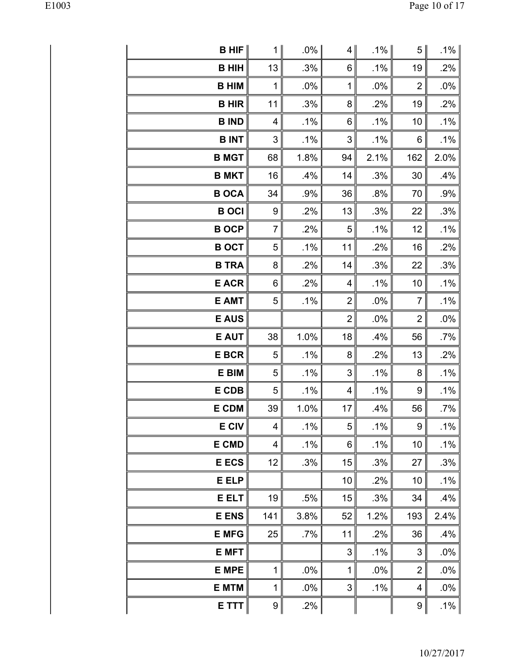| $B$ HIF             | 1∥             | $.0\%$ | 4              | .1% ∥  | 5                         | $.1\%$ |
|---------------------|----------------|--------|----------------|--------|---------------------------|--------|
| <b>B HIH</b>        | 13             | .3%    | 6              | .1%    | 19                        | .2%    |
| <b>B HIM</b>        | 1              | .0%    | $\mathbf{1}$   | .0%    | $\overline{2}$            | .0%    |
| <b>B HIR</b>        | 11             | .3%    | 8              | .2%    | 19                        | .2%    |
| <b>B IND</b>        | 4              | .1%    | 6              | .1%    | 10                        | .1%    |
| <b>BINT</b>         | $\sqrt{3}$     | .1%    | 3              | .1%    | 6                         | .1%    |
| <b>B MGT</b>        | 68             | 1.8%   | 94             | 2.1%   | 162                       | 2.0%   |
| <b>B MKT</b>        | 16             | .4%    | 14             | .3%    | 30                        | .4%    |
| <b>B OCA</b>        | 34             | .9%    | 36             | .8%    | 70                        | .9%    |
| <b>B</b> OCI        | 9              | .2%    | 13             | .3%    | 22                        | .3%    |
| <b>BOCP</b>         | $\overline{7}$ | .2%    | $\sqrt{5}$     | .1%    | 12                        | .1%    |
| <b>B OCT</b>        | 5              | .1%    | 11             | .2%    | 16                        | .2%    |
| <b>B TRA</b>        | 8              | .2%    | 14             | .3%    | 22                        | .3%    |
| <b>E ACR</b>        | 6              | .2%    | 4              | $.1\%$ | 10                        | $.1\%$ |
| <b>E AMT</b>        | 5              | $.1\%$ | $\overline{2}$ | .0%    | $\overline{7}$            | .1%    |
| <b>E AUS</b>        |                |        | $\overline{2}$ | .0%    | $\overline{2}$            | .0%    |
| <b>E AUT</b>        | 38             | 1.0%   | 18             | .4%    | 56                        | $.7\%$ |
| <b>E BCR</b>        | 5              | $.1\%$ | 8              | .2%    | 13                        | .2%    |
| E BIM               | 5              | $.1\%$ | 3              | $.1\%$ | 8                         | $.1\%$ |
| E CDB               | 5              | $.1\%$ | $\overline{4}$ | $.1\%$ | 9                         | .1%    |
| <b>E CDM</b>        | 39             | 1.0%   | 17             | .4%    | 56                        | .7%    |
| <b>E CIV</b>        | 4              | $.1\%$ | 5              | .1%    | 9                         | .1%    |
| <b>E CMD</b>        | 4              | .1%    | 6              | .1%    | 10                        | .1%    |
| <b>E ECS</b>        | 12             | .3%    | 15             | .3%    | 27                        | .3%    |
| E ELP               |                |        | 10             | .2%    | 10                        | .1%    |
| <b>E ELT</b>        | 19             | .5%    | 15             | .3%    | 34                        | .4%    |
| <b>E ENS</b>        | 141            | 3.8%   | 52             | 1.2%   | 193                       | 2.4%   |
| <b>E MFG</b>        | 25             | .7%    | 11             | .2%    | 36                        | .4%    |
| <b>E MFT</b>        |                |        | 3              | .1%    | $\ensuremath{\mathsf{3}}$ | .0%    |
| <b>E MPE</b>        | 1              | .0%    | $\mathbf{1}$   | .0%    | $\overline{2}$            | .0%    |
| <b>E MTM</b>        | 1              | .0%    | 3              | $.1\%$ | 4                         | .0%    |
| $E$ TTT $\parallel$ | $9\vert$       | .2%    |                |        | 9                         | .1%    |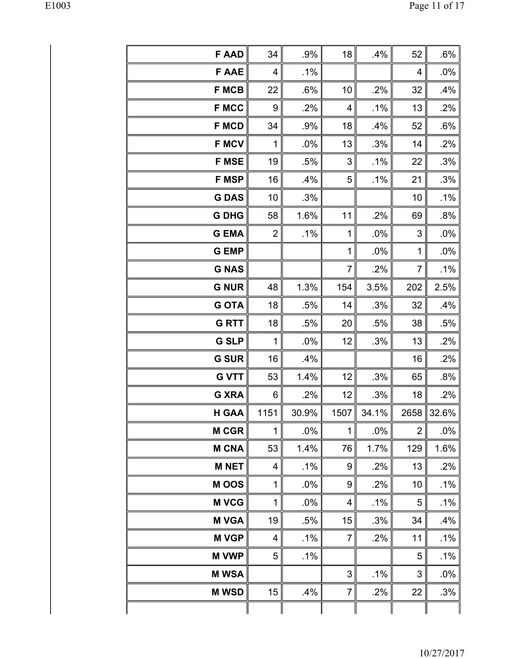| <b>F AAD</b> | 34             | .9%    | 18             | .4%      | 52             | .6%        |
|--------------|----------------|--------|----------------|----------|----------------|------------|
| <b>FAAE</b>  | 4              | $.1\%$ |                |          | 4              | .0%        |
| <b>F MCB</b> | 22             | .6%    | 10             | .2%      | 32             | .4%        |
| <b>F MCC</b> | 9              | .2%    | 4              | .1%      | 13             | .2%        |
| <b>F MCD</b> | 34             | .9%    | 18             | .4%      | 52             | .6%        |
| <b>F MCV</b> | $\mathbf 1$    | .0%    | 13             | .3%      | 14             | .2%        |
| <b>F MSE</b> | 19             | .5%    | $\sqrt{3}$     | $.1\%$   | 22             | .3%        |
| <b>F MSP</b> | 16             | .4%    | 5              | .1%      | 21             | .3%        |
| <b>GDAS</b>  | 10             | .3%    |                |          | 10             | .1%        |
| <b>G DHG</b> | 58             | 1.6%   | 11             | .2%      | 69             | .8%        |
| <b>G EMA</b> | $\overline{2}$ | .1%    | 1              | .0%      | 3              | .0%        |
| <b>G EMP</b> |                |        | $\mathbf{1}$   | .0%      | 1              | .0%        |
| <b>G NAS</b> |                |        | $\overline{7}$ | .2%      | $\overline{7}$ | .1%        |
| <b>G NUR</b> | 48             | 1.3%   | 154            | 3.5%     | 202            | 2.5%       |
| <b>G OTA</b> | 18             | .5%    | 14             | .3%      | 32             | .4%        |
| <b>G RTT</b> | 18             | .5%    | 20             | .5%      | 38             | .5%        |
| <b>G SLP</b> | 1              | .0%    | 12             | .3%      | 13             | .2%        |
| <b>G SUR</b> | 16             | .4%    |                |          | 16             | .2%        |
| <b>G VTT</b> | 53             | 1.4%   | 12             | .3%      | 65             | .8%        |
| <b>G XRA</b> | 6              | .2%    | 12             | .3%      | 18             | .2%        |
| <b>H GAA</b> | 1151           | 30.9%  | 1507           | $34.1\%$ |                | 2658 32.6% |
| <b>M CGR</b> | 1              | .0%    | 1              | .0%      | $\overline{2}$ | .0%        |
| <b>M CNA</b> | 53             | 1.4%   | 76             | 1.7%     | 129            | 1.6%       |
| <b>MNET</b>  | 4              | .1%    | 9              | .2%      | 13             | .2%        |
| M OOS        | 1              | .0%    | 9              | .2%      | 10             | .1%        |
| <b>M VCG</b> | 1              | .0%    | 4              | .1%      | 5              | $.1\%$     |
| <b>M VGA</b> | 19             | .5%    | 15             | .3%      | 34             | .4%        |
| <b>MVGP</b>  | 4              | .1%    | $\overline{7}$ | .2%      | 11             | $.1\%$     |
| <b>M VWP</b> | 5              | .1%    |                |          | 5              | .1%        |
| <b>M WSA</b> |                |        | 3              | .1%      | 3              | .0%        |
| <b>M WSD</b> | 15             | .4%    | $\overline{7}$ | .2%      | 22             | .3%        |
|              |                |        |                |          |                |            |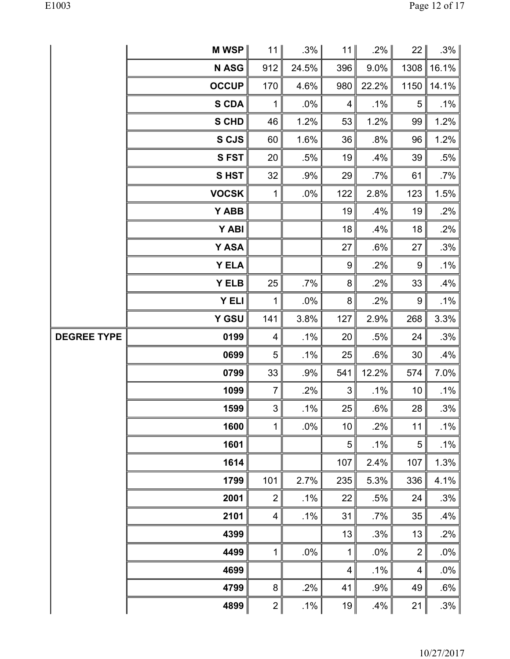|  | l<br>۱ |
|--|--------|
|--|--------|

|                    | M WSP $\parallel$ | 11             | $.3\%$ | 11                      | $.2\%$ | 22               | $.3\%$ |
|--------------------|-------------------|----------------|--------|-------------------------|--------|------------------|--------|
|                    | <b>NASG</b>       | 912            | 24.5%  | 396                     | 9.0%   | 1308             | 16.1%  |
|                    | <b>OCCUP</b>      | 170            | 4.6%   | 980                     | 22.2%  | 1150             | 14.1%  |
|                    | <b>S CDA</b>      | $\mathbf 1$    | .0%    | $\overline{\mathbf{4}}$ | $.1\%$ | $\sqrt{5}$       | .1%    |
|                    | <b>S CHD</b>      | 46             | 1.2%   | 53                      | 1.2%   | 99               | 1.2%   |
|                    | S CJS             | 60             | 1.6%   | 36                      | .8%    | 96               | 1.2%   |
|                    | <b>SFST</b>       | 20             | .5%    | 19                      | .4%    | 39               | .5%    |
|                    | <b>SHST</b>       | 32             | .9%    | 29                      | $.7\%$ | 61               | $.7\%$ |
|                    | <b>VOCSK</b>      | $\mathbf 1$    | .0%    | 122                     | 2.8%   | 123              | 1.5%   |
|                    | Y ABB             |                |        | 19                      | .4%    | 19               | .2%    |
|                    | Y ABI             |                |        | 18                      | .4%    | 18               | .2%    |
|                    | Y ASA             |                |        | 27                      | .6%    | 27               | .3%    |
|                    | <b>Y ELA</b>      |                |        | $\boldsymbol{9}$        | .2%    | $\boldsymbol{9}$ | $.1\%$ |
|                    | <b>Y ELB</b>      | 25             | $.7\%$ | 8                       | .2%    | 33               | .4%    |
|                    | <b>Y ELI</b>      | $\mathbf 1$    | $.0\%$ | $\bf 8$                 | .2%    | 9                | $.1\%$ |
|                    | Y GSU             | 141            | 3.8%   | 127                     | 2.9%   | 268              | 3.3%   |
| <b>DEGREE TYPE</b> | 0199              | 4              | .1%    | 20                      | .5%    | 24               | .3%    |
|                    | 0699              | 5              | $.1\%$ | 25                      | .6%    | 30               | .4%    |
|                    | 0799              | 33             | .9%    | 541                     | 12.2%  | 574              | 7.0%   |
|                    | 1099              | $\overline{7}$ | .2%    | 3                       | $.1\%$ | 10               | $.1\%$ |
|                    | 1599              | $\mathfrak{S}$ | .1%    | 25                      | .6%    | 28               | $.3\%$ |
|                    | 1600              | $\mathbf{1}$   | .0%    | 10                      | .2%    | 11               | .1%    |
|                    | 1601              |                |        | $\sqrt{5}$              | .1%    | $\mathbf 5$      | .1%    |
|                    | 1614              |                |        | 107                     | 2.4%   | 107              | 1.3%   |
|                    | 1799              | 101            | 2.7%   | 235                     | 5.3%   | 336              | 4.1%   |
|                    | 2001              | $\mathbf 2$    | $.1\%$ | 22                      | .5%    | 24               | .3%    |
|                    | 2101              | 4              | .1%    | 31                      | .7%    | 35               | .4%    |
|                    | 4399              |                |        | 13                      | .3%    | 13               | .2%    |
|                    | 4499              | 1              | .0%    | $\mathbf{1}$            | .0%    | $\overline{2}$   | .0%    |
|                    | 4699              |                |        | $\overline{\mathbf{4}}$ | .1%    | $\overline{4}$   | .0%    |
|                    | 4799              | 8              | .2%    | 41                      | .9%    | 49               | .6%    |
|                    | 4899              | $2\vert$       | $.1\%$ | 19                      | .4%    | 21               | $.3\%$ |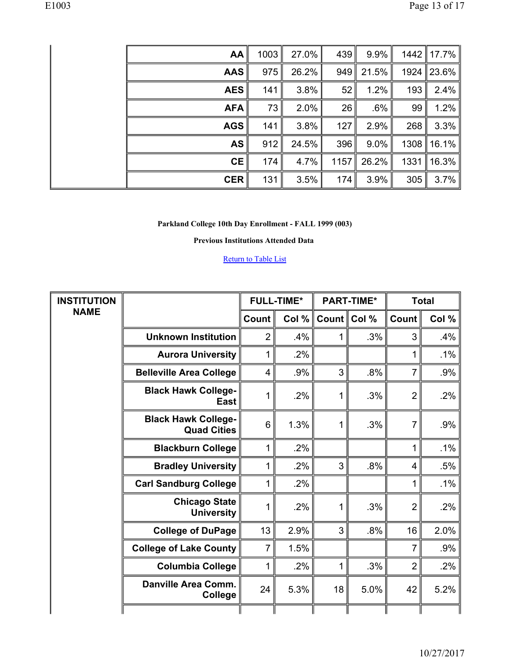| AA         | 1003 | 27.0% | 439  | $9.9\%$ |      | 1442   17.7% |
|------------|------|-------|------|---------|------|--------------|
| <b>AAS</b> | 975  | 26.2% | 949  | 21.5%   |      | 1924 23.6%   |
| <b>AES</b> | 141  | 3.8%  | 52   | 1.2%    | 193  | $2.4\%$      |
| <b>AFA</b> | 73   | 2.0%  | 26   | $.6\%$  | 99   | 1.2%         |
| <b>AGS</b> | 141  | 3.8%  | 127  | 2.9%    | 268  | $3.3\%$      |
| <b>AS</b>  | 912  | 24.5% | 396  | $9.0\%$ |      | 1308   16.1% |
| <b>CE</b>  | 174  | 4.7%  | 1157 | 26.2%   | 1331 | 16.3%        |
| <b>CER</b> | 131  | 3.5%  | 174  | 3.9%    | 305  | $3.7\%$      |

**Previous Institutions Attended Data** 

| <b>INSTITUTION</b> |                                                  |                | <b>FULL-TIME*</b> |    | <b>PART-TIME*</b> | <b>Total</b>   |        |
|--------------------|--------------------------------------------------|----------------|-------------------|----|-------------------|----------------|--------|
| <b>NAME</b>        |                                                  | <b>Count</b>   | Col $%$           |    | Count Col %       | Count          | Col %  |
|                    | <b>Unknown Institution</b>                       | $\overline{2}$ | $.4\%$            | 1  | .3%               | 3              | .4%    |
|                    | <b>Aurora University</b>                         | 1              | .2%               |    |                   | 1              | .1%    |
|                    | <b>Belleville Area College</b>                   | $\overline{4}$ | .9%               | 3  | .8%               | $\overline{7}$ | .9%    |
|                    | <b>Black Hawk College-</b><br><b>East</b>        |                | .2%               | 1  | .3%               | $\overline{2}$ | .2%    |
|                    | <b>Black Hawk College-</b><br><b>Quad Cities</b> | 6              | 1.3%              | 1  | .3%               | $\overline{7}$ | .9%    |
|                    | <b>Blackburn College</b>                         | 1              | .2%               |    |                   | 1              | .1%    |
|                    | <b>Bradley University</b>                        | 1              | .2%               | 3  | .8%               | $\overline{4}$ | .5%    |
|                    | <b>Carl Sandburg College</b>                     | 1              | $.2\%$            |    |                   | 1              | $.1\%$ |
|                    | <b>Chicago State</b><br><b>University</b>        | 1              | .2%               | 1  | .3%               | $\overline{2}$ | .2%    |
|                    | <b>College of DuPage</b>                         | 13             | 2.9%              | 3  | .8%               | 16             | 2.0%   |
|                    | <b>College of Lake County</b>                    | 7              | 1.5%              |    |                   | $\overline{7}$ | .9%    |
|                    | <b>Columbia College</b>                          | 1              | .2%               | 1  | .3%               | $\overline{2}$ | $.2\%$ |
|                    | <b>Danville Area Comm.</b><br>College            | 24             | 5.3%              | 18 | 5.0%              | 42             | 5.2%   |
|                    |                                                  |                |                   |    |                   |                |        |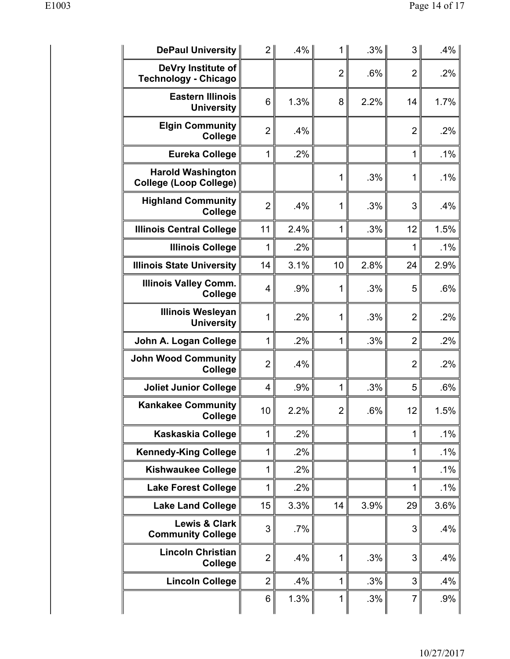| <b>DePaul University</b>                                  | $\overline{2}$ | .4%    | 1              | $.3\%$ | 3              | .4%    |
|-----------------------------------------------------------|----------------|--------|----------------|--------|----------------|--------|
| DeVry Institute of<br><b>Technology - Chicago</b>         |                |        | $\overline{2}$ | .6%    | $\overline{2}$ | .2%    |
| <b>Eastern Illinois</b><br><b>University</b>              | 6              | 1.3%   | 8              | 2.2%   | 14             | 1.7%   |
| <b>Elgin Community</b><br>College                         | $\overline{2}$ | .4%    |                |        | $\overline{2}$ | .2%    |
| <b>Eureka College</b>                                     | 1              | .2%    |                |        | 1              | .1%    |
| <b>Harold Washington</b><br><b>College (Loop College)</b> |                |        | 1              | .3%    | 1              | .1%    |
| <b>Highland Community</b><br>College                      | $\overline{2}$ | .4%    | 1              | .3%    | 3              | .4%    |
| <b>Illinois Central College</b>                           | 11             | 2.4%   | $\mathbf 1$    | .3%    | 12             | 1.5%   |
| <b>Illinois College</b>                                   | 1              | .2%    |                |        | 1              | .1%    |
| <b>Illinois State University</b>                          | 14             | 3.1%   | 10             | 2.8%   | 24             | 2.9%   |
| <b>Illinois Valley Comm.</b><br><b>College</b>            | $\overline{4}$ | .9%    | 1              | .3%    | 5              | .6%    |
| <b>Illinois Wesleyan</b><br><b>University</b>             | 1              | .2%    | 1              | .3%    | $\overline{2}$ | .2%    |
| John A. Logan College                                     | 1              | .2%    | 1              | .3%    | $\overline{2}$ | .2%    |
| <b>John Wood Community</b><br>College                     | $\overline{2}$ | .4%    |                |        | $\overline{2}$ | .2%    |
| <b>Joliet Junior College</b>                              | 4              | .9%    | 1              | .3%    | 5              | .6%    |
| <b>Kankakee Community</b><br><b>College</b>               | 10             | 2.2%   | $\overline{2}$ | .6%    | 12             | 1.5%   |
| Kaskaskia College                                         | 1              | .2%    |                |        | 1              | .1%    |
| <b>Kennedy-King College</b>                               | 1              | $.2\%$ |                |        | 1              | .1%    |
| <b>Kishwaukee College</b>                                 | 1              | .2%    |                |        | 1              | $.1\%$ |
| <b>Lake Forest College</b>                                | 1              | $.2\%$ |                |        | 1              | $.1\%$ |
| <b>Lake Land College</b>                                  | 15             | 3.3%   | 14             | 3.9%   | 29             | 3.6%   |
| Lewis & Clark<br><b>Community College</b>                 | 3              | .7%    |                |        | 3              | .4%    |
| <b>Lincoln Christian</b><br>College                       | $\overline{2}$ | .4%    | 1              | .3%    | 3              | .4%    |
| <b>Lincoln College</b>                                    | $\overline{2}$ | .4%    | 1              | .3%    | 3              | .4%    |
|                                                           | 6              | 1.3%   | 1              | .3%    | 7              | .9%    |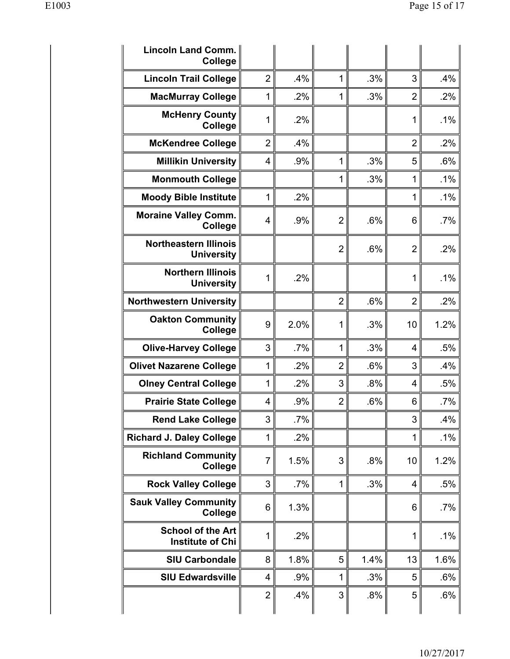| <b>Lincoln Land Comm.</b><br><b>College</b>         |                         |      |                |      |                |        |
|-----------------------------------------------------|-------------------------|------|----------------|------|----------------|--------|
| <b>Lincoln Trail College</b>                        | $\overline{2}$          | .4%  | 1              | .3%  | 3              | .4%    |
| <b>MacMurray College</b>                            | 1                       | .2%  | 1              | .3%  | $\overline{2}$ | .2%    |
| <b>McHenry County</b><br>College                    | 1                       | .2%  |                |      | 1              | .1%    |
| <b>McKendree College</b>                            | $\overline{2}$          | .4%  |                |      | $\overline{2}$ | .2%    |
| <b>Millikin University</b>                          | $\overline{4}$          | .9%  | 1              | .3%  | 5              | .6%    |
| <b>Monmouth College</b>                             |                         |      | 1              | .3%  | 1              | .1%    |
| <b>Moody Bible Institute</b>                        | 1                       | .2%  |                |      | 1              | .1%    |
| <b>Moraine Valley Comm.</b><br><b>College</b>       | 4                       | .9%  | $\overline{2}$ | .6%  | 6              | .7%    |
| <b>Northeastern Illinois</b><br><b>University</b>   |                         |      | $\overline{2}$ | .6%  | $\overline{2}$ | .2%    |
| <b>Northern Illinois</b><br><b>University</b>       | 1                       | .2%  |                |      | 1              | .1%    |
| <b>Northwestern University</b>                      |                         |      | $\overline{2}$ | .6%  | $\overline{2}$ | .2%    |
| <b>Oakton Community</b><br><b>College</b>           | 9                       | 2.0% | 1              | .3%  | 10             | 1.2%   |
| <b>Olive-Harvey College</b>                         | 3                       | .7%  | 1              | .3%  | $\overline{4}$ | .5%    |
| <b>Olivet Nazarene College</b>                      | 1                       | .2%  | $\overline{2}$ | .6%  | 3              | .4%    |
| <b>Olney Central College</b>                        | 1                       | .2%  | 3              | .8%  | 4              | .5%    |
| <b>Prairie State College</b>                        | 4                       | .9%  | $\overline{2}$ | .6%  | 6              | $.7\%$ |
| <b>Rend Lake College</b>                            | 3                       | .7%  |                |      | 3              | .4%    |
| <b>Richard J. Daley College</b>                     | 1                       | .2%  |                |      | 1              | $.1\%$ |
| <b>Richland Community</b><br>College                | $\overline{7}$          | 1.5% | 3              | .8%  | 10             | 1.2%   |
| <b>Rock Valley College</b>                          | 3                       | .7%  | 1              | .3%  | 4              | .5%    |
| <b>Sauk Valley Community</b><br>College             | 6                       | 1.3% |                |      | 6              | $.7\%$ |
| <b>School of the Art</b><br><b>Institute of Chi</b> | 1                       | .2%  |                |      | 1              | .1%    |
| <b>SIU Carbondale</b>                               | 8                       | 1.8% | 5              | 1.4% | 13             | 1.6%   |
| <b>SIU Edwardsville</b>                             | $\overline{\mathbf{4}}$ | .9%  | 1              | .3%  | 5              | .6%    |
|                                                     | $\overline{2}$          | .4%  | 3              | .8%  | 5              | .6%    |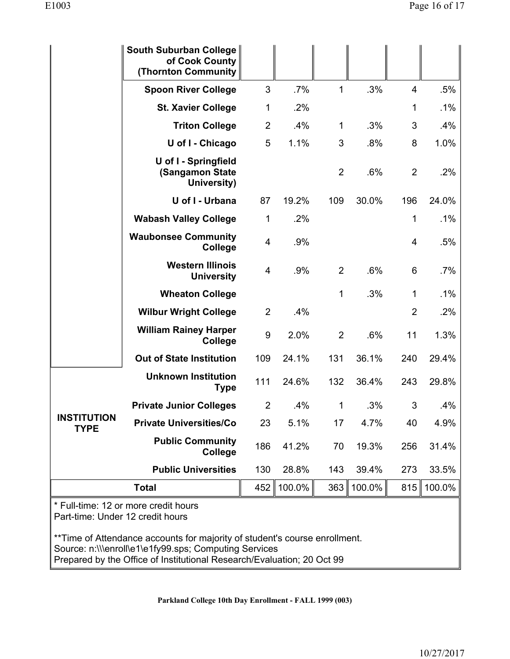|                                   | South Suburban College<br>of Cook County<br><b>(Thornton Community)</b> |                  |        |                |        |                |        |
|-----------------------------------|-------------------------------------------------------------------------|------------------|--------|----------------|--------|----------------|--------|
|                                   | <b>Spoon River College</b>                                              | 3                | .7%    | 1              | .3%    | $\overline{4}$ | .5%    |
|                                   | <b>St. Xavier College</b>                                               | 1                | .2%    |                |        | 1              | .1%    |
|                                   | <b>Triton College</b>                                                   | $\overline{2}$   | .4%    | $\mathbf{1}$   | .3%    | 3              | .4%    |
|                                   | U of I - Chicago                                                        | 5                | 1.1%   | 3              | .8%    | 8              | 1.0%   |
|                                   | U of I - Springfield<br>(Sangamon State<br>University)                  |                  |        | $\overline{2}$ | .6%    | $\overline{2}$ | .2%    |
|                                   | U of I - Urbana                                                         | 87               | 19.2%  | 109            | 30.0%  | 196            | 24.0%  |
|                                   | <b>Wabash Valley College</b>                                            | 1                | .2%    |                |        | 1              | .1%    |
|                                   | <b>Waubonsee Community</b><br>College                                   | 4                | .9%    |                |        | $\overline{4}$ | .5%    |
|                                   | <b>Western Illinois</b><br><b>University</b>                            | 4                | .9%    | $\overline{2}$ | .6%    | 6              | .7%    |
|                                   | <b>Wheaton College</b>                                                  |                  |        | 1              | .3%    | 1              | $.1\%$ |
|                                   | <b>Wilbur Wright College</b>                                            | $\overline{2}$   | .4%    |                |        | $\overline{2}$ | .2%    |
|                                   | <b>William Rainey Harper</b><br>College                                 | $\boldsymbol{9}$ | 2.0%   | $\overline{2}$ | .6%    | 11             | 1.3%   |
|                                   | <b>Out of State Institution</b>                                         | 109              | 24.1%  | 131            | 36.1%  | 240            | 29.4%  |
|                                   | <b>Unknown Institution</b><br><b>Type</b>                               | 111              | 24.6%  | 132            | 36.4%  | 243            | 29.8%  |
|                                   | <b>Private Junior Colleges</b>                                          | $\overline{2}$   | .4%    | 1              | .3%    | 3              | .4%    |
| <b>INSTITUTION</b><br><b>TYPE</b> | <b>Private Universities/Co</b>                                          | 23               | 5.1%   | 17             | 4.7%   | 40             | 4.9%   |
|                                   | <b>Public Community</b><br>College                                      | 186              | 41.2%  | 70             | 19.3%  | 256            | 31.4%  |
|                                   | <b>Public Universities</b>                                              | 130              | 28.8%  | 143            | 39.4%  | 273            | 33.5%  |
|                                   | <b>Total</b>                                                            | 452              | 100.0% | 363            | 100.0% | 815            | 100.0% |
| Part-time: Under 12 credit hours  | * Full-time: 12 or more credit hours                                    |                  |        |                |        |                |        |

\*\*Time of Attendance accounts for majority of student's course enrollment. Source: n:\\\enroll\e1\e1fy99.sps; Computing Services Prepared by the Office of Institutional Research/Evaluation; 20 Oct 99

**Parkland College 10th Day Enrollment - FALL 1999 (003)**